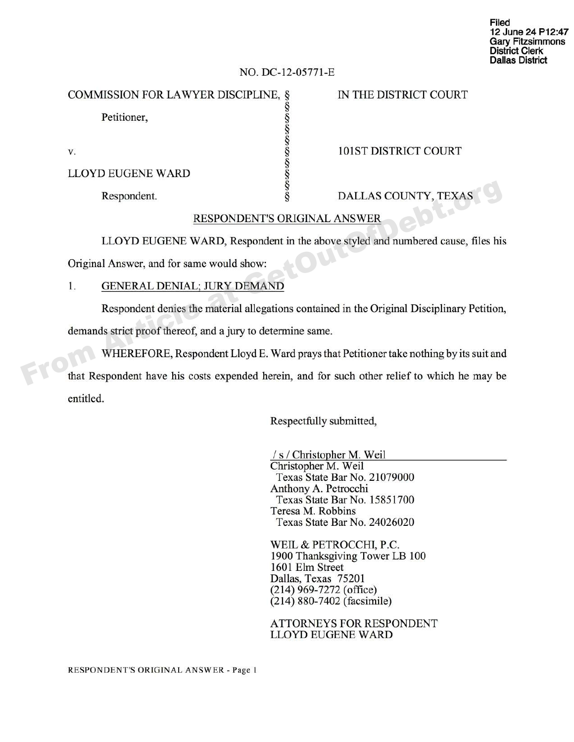| Filed                   |  |
|-------------------------|--|
| 12 June 24 P12:47       |  |
| <b>Gary Fitzsimmons</b> |  |
| <b>District Clerk</b>   |  |
| <b>Dallas District</b>  |  |

## **NO. DC-12-05771-E**

COMMISSION FOR LAWYER DISCIPLINE, § IN THE DISTRICT COURT

Petitioner,

Petitioner,<br>
v.<br>
101ST DISTRICT COURT<br>
LLOYD EUGENE WARD<br>
Respondent. LLOYD EUGENE WARD

Respondent.  $\S$  DALLAS COUNTY, TEXAS

# RESPONDENT'S ORIGINAL ANSWER

LLOYD EUGENE WARD, Respondent in the above styled and numbered cause, files his

Original Answer, and for same would show:

# 1. GENERAL DENIAL; JURY DEMAND

Respondent denies the material allegations contained in the Original Disciplinary Petition, demands strict proof thereof, and a jury to determine same.

WHEREFORE, Respondent Lloyd E. Ward prays that Petitioner take nothing by its suit and that Respondent have his costs expended herein, and for such other relief to which he may be entitled. From Article at Germany Schemester at Article at Article at Article at Article at Article at Article at Article and Schemester at Article and Schemester at Article and Schemester at Article and Schemester at General Answer

Respectfully submitted,

/s/Christo her M. Weil Christopher M. Weil Texas State Bar No. 21079000 Anthony A. Petrocchi Texas State Bar No. 15851700 Teresa M. Robbins Texas State Bar No. 24026020

WEIL & PETROCCHI, P.C. 1900 Thanksgiving Tower LB 100 1601 Elm Street Dallas, Texas 75201 (214) 969-7272 (office) (214) 880-7402 (facsimile)

ATTORNEYS FOR RESPONDENT LLOYD EUGENE WARD